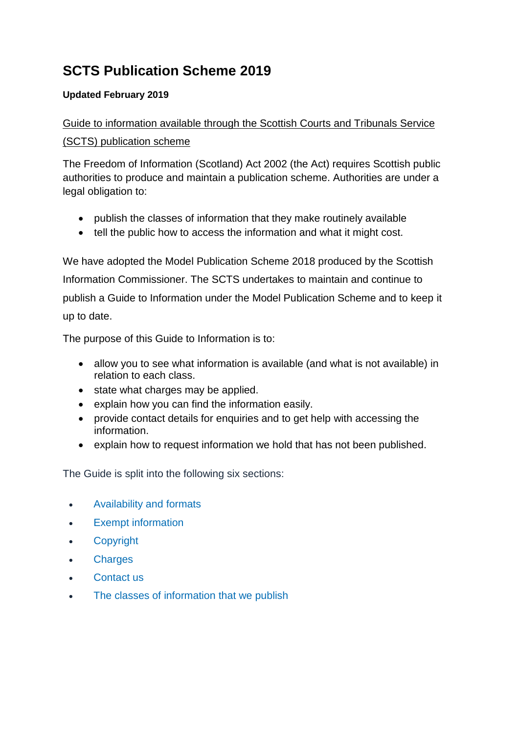# **SCTS Publication Scheme 2019**

### **Updated February 2019**

## Guide to information available through the Scottish Courts and Tribunals Service (SCTS) publication scheme

The Freedom of Information (Scotland) Act 2002 (the Act) requires Scottish public authorities to produce and maintain a publication scheme. Authorities are under a legal obligation to:

- publish the classes of information that they make routinely available
- tell the public how to access the information and what it might cost.

We have adopted the Model Publication Scheme 2018 produced by the Scottish Information Commissioner. The SCTS undertakes to maintain and continue to publish a Guide to Information under the Model Publication Scheme and to keep it up to date.

The purpose of this Guide to Information is to:

- allow you to see what information is available (and what is not available) in relation to each class.
- state what charges may be applied.
- explain how you can find the information easily.
- provide contact details for enquiries and to get help with accessing the information.
- explain how to request information we hold that has not been published.

The Guide is split into the following six sections:

- [Availability and formats](#page-0-0)
- **•** [Exempt information](#page-1-0)
- [Copyright](#page-1-1)
- [Charges](#page-1-2)
- [Contact us](#page-2-0)
- <span id="page-0-0"></span>[The classes of information that we publish](#page-3-0)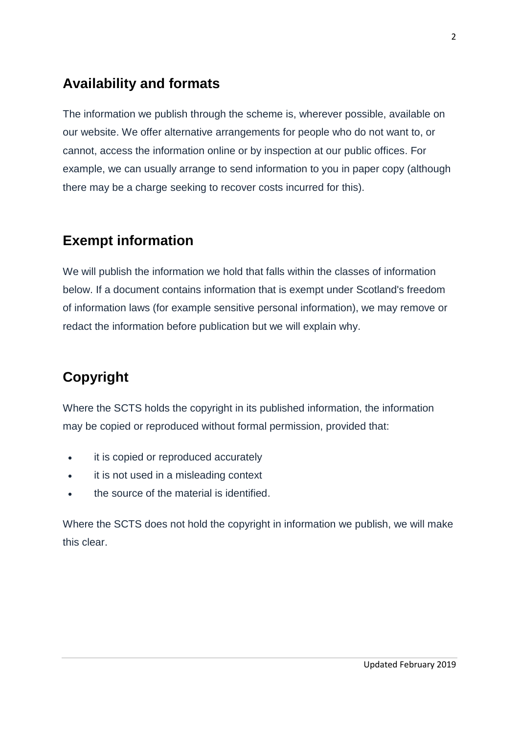# **Availability and formats**

The information we publish through the scheme is, wherever possible, available on our website. We offer alternative arrangements for people who do not want to, or cannot, access the information online or by inspection at our public offices. For example, we can usually arrange to send information to you in paper copy (although there may be a charge seeking to recover costs incurred for this).

# <span id="page-1-0"></span>**Exempt information**

We will publish the information we hold that falls within the classes of information below. If a document contains information that is exempt under Scotland's freedom of information laws (for example sensitive personal information), we may remove or redact the information before publication but we will explain why.

# <span id="page-1-1"></span>**Copyright**

Where the SCTS holds the copyright in its published information, the information may be copied or reproduced without formal permission, provided that:

- **•** it is copied or reproduced accurately
- it is not used in a misleading context
- the source of the material is identified.

<span id="page-1-2"></span>Where the SCTS does not hold the copyright in information we publish, we will make this clear.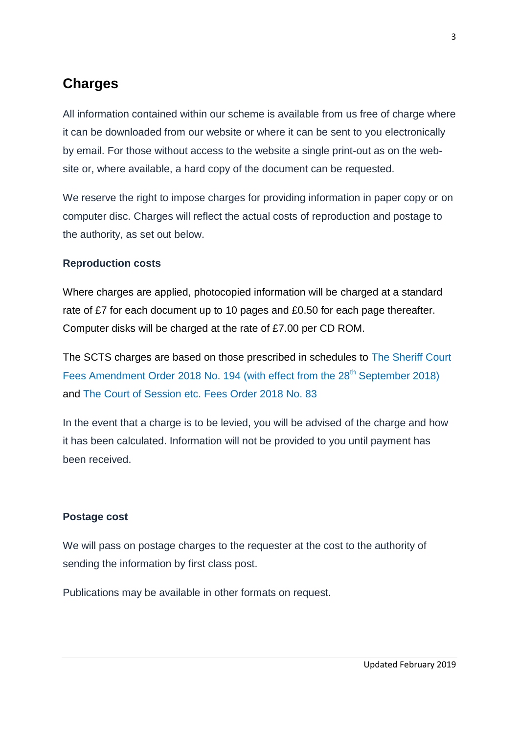## **Charges**

All information contained within our scheme is available from us free of charge where it can be downloaded from our website or where it can be sent to you electronically by email. For those without access to the website a single print-out as on the website or, where available, a hard copy of the document can be requested.

We reserve the right to impose charges for providing information in paper copy or on computer disc. Charges will reflect the actual costs of reproduction and postage to the authority, as set out below.

#### **Reproduction costs**

Where charges are applied, photocopied information will be charged at a standard rate of £7 for each document up to 10 pages and £0.50 for each page thereafter. Computer disks will be charged at the rate of £7.00 per CD ROM.

The SCTS charges are based on those prescribed in schedules to [The Sheriff Court](http://www.legislation.gov.uk/ssi/2018/194/made)  [Fees Amendment Order 2018 No. 194 \(with effect from the 28](http://www.legislation.gov.uk/ssi/2018/194/made)<sup>th</sup> September 2018) and [The Court of Session etc. Fees Order 2018](http://www.legislation.gov.uk/ssi/2018/83/made) No. 83

In the event that a charge is to be levied, you will be advised of the charge and how it has been calculated. Information will not be provided to you until payment has been received.

#### **Postage cost**

We will pass on postage charges to the requester at the cost to the authority of sending the information by first class post.

<span id="page-2-0"></span>Publications may be available in other formats on request.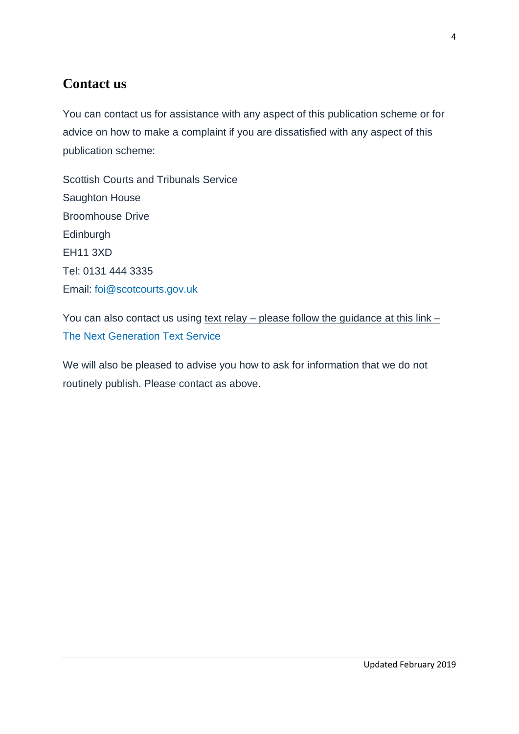## **Contact us**

You can contact us for assistance with any aspect of this publication scheme or for advice on how to make a complaint if you are dissatisfied with any aspect of this publication scheme:

Scottish Courts and Tribunals Service Saughton House Broomhouse Drive **Edinburgh** EH11 3XD Tel: 0131 444 3335 Email: [foi@scotcourts.gov.uk](mailto:foi@scotcourts.gov.uk)

You can also contact us using text relay – please follow the guidance at this link – [The Next Generation Text Service](https://www.btplc.com/inclusion/MakingCallingEasier/Textrelay/index.htm)

<span id="page-3-0"></span>We will also be pleased to advise you how to ask for information that we do not routinely publish. Please contact as above.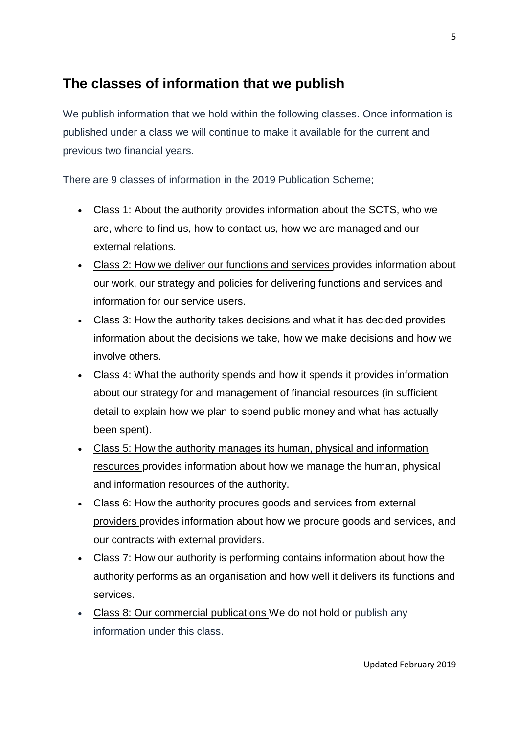# **The classes of information that we publish**

We publish information that we hold within the following classes. Once information is published under a class we will continue to make it available for the current and previous two financial years.

There are 9 classes of information in the 2019 Publication Scheme;

- Class 1: About the authority provides information about the SCTS, who we are, where to find us, how to contact us, how we are managed and our external relations.
- Class 2: How we deliver our functions and services provides information about our work, our strategy and policies for delivering functions and services and information for our service users.
- Class 3: How the authority takes decisions and what it has decided provides information about the decisions we take, how we make decisions and how we involve others.
- Class 4: What the authority spends and how it spends it provides information about our strategy for and management of financial resources (in sufficient detail to explain how we plan to spend public money and what has actually been spent).
- Class 5: How the authority manages its human, physical and information resources provides information about how we manage the human, physical and information resources of the authority.
- Class 6: How the authority procures goods and services from external providers provides information about how we procure goods and services, and our contracts with external providers.
- Class 7: How our authority is performing contains information about how the authority performs as an organisation and how well it delivers its functions and services.
- Class 8: Our commercial publications We do not hold or publish any information under this class.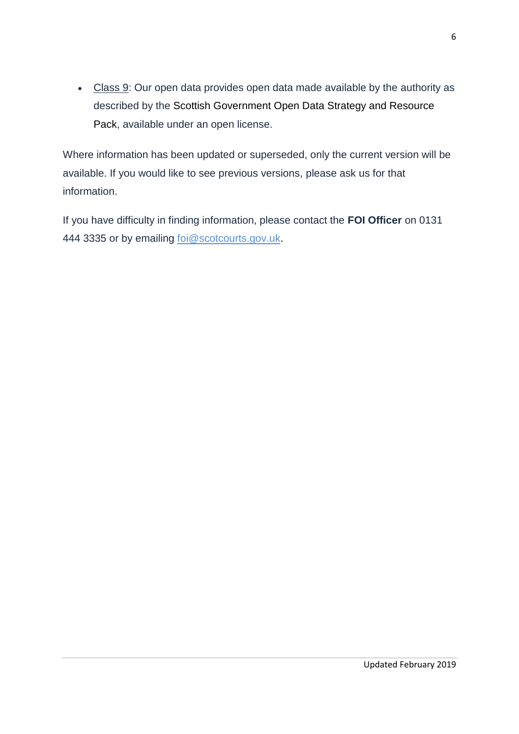• Class 9: Our open data provides open data made available by the authority as described by the [Scottish Government Open Data Strategy and Resource](http://www.gov.scot/Publications/2015/08/4093/0)  [Pack,](http://www.gov.scot/Publications/2015/08/4093/0) available under an open license.

Where information has been updated or superseded, only the current version will be available. If you would like to see previous versions, please ask us for that information.

If you have difficulty in finding information, please contact the **FOI Officer** on 0131 444 3335 or by emailing [foi@scotcourts.gov.uk.](mailto:foi@scotcourts.gov.uk)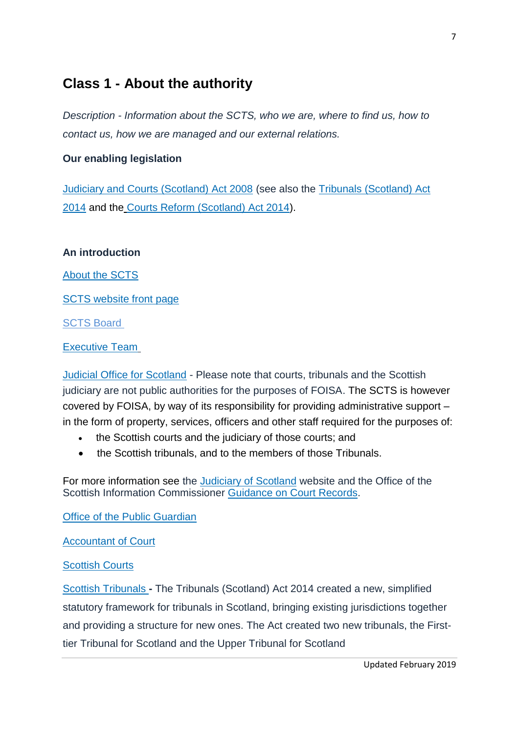## **Class 1 - About the authority**

*Description - Information about the SCTS, who we are, where to find us, how to contact us, how we are managed and our external relations.*

#### **Our enabling legislation**

[Judiciary and Courts \(Scotland\) Act 2008](http://www.legislation.gov.uk/asp/2008/6/contents) (see also the [Tribunals \(Scotland\) Act](http://www.legislation.gov.uk/asp/2014/10/contents)  [2014](http://www.legislation.gov.uk/asp/2014/10/contents) and the Courts [Reform \(Scotland\) Act 2014\)](http://origin-www.legislation.gov.uk/asp/2014/18/contents).

#### **An introduction**

[About the SCTS](http://www.scotcourts.gov.uk/about-the-scottish-court-service)

[SCTS website front page](http://www.scotcourts.gov.uk/)

**[SCTS Board](http://www.scotcourts.gov.uk/about-the-scottish-court-service/the-scottish-court-service-board)** 

#### [Executive Team](http://www.scotcourts.gov.uk/about-the-scottish-court-service/scs-executive-team)

[Judicial Office for Scotland](https://www.scotcourts.gov.uk/about-the-scottish-court-service/judicial-office-for-scotland) - Please note that courts, tribunals and the Scottish judiciary are not public authorities for the purposes of FOISA. The SCTS is however covered by FOISA, by way of its responsibility for providing administrative support – in the form of property, services, officers and other staff required for the purposes of:

- the Scottish courts and the judiciary of those courts; and
- the Scottish tribunals, and to the members of those Tribunals.

For more information see the [Judiciary of](http://www.scotland-judiciary.org.uk/1/0/Home) Scotland website and the Office of the Scottish Information Commissioner [Guidance on Court Records.](http://www.itspublicknowledge.info/Law/FOISA-EIRsGuidance/section37/Section37.aspx)

[Office of the Public Guardian](http://www.publicguardian-scotland.gov.uk/)

[Accountant of Court](http://www.scotcourts.gov.uk/the-courts/more/the-accountant-of-court)

#### [Scottish Courts](http://www.scotcourts.gov.uk/the-courts)

[Scottish Tribunals](http://www.scotcourts.gov.uk/the-courts/the-tribunals/about-scottish-tribunals) **-** The Tribunals (Scotland) Act 2014 created a new, simplified statutory framework for tribunals in Scotland, bringing existing jurisdictions together and providing a structure for new ones. The Act created two new tribunals, the Firsttier Tribunal for Scotland and the Upper Tribunal for Scotland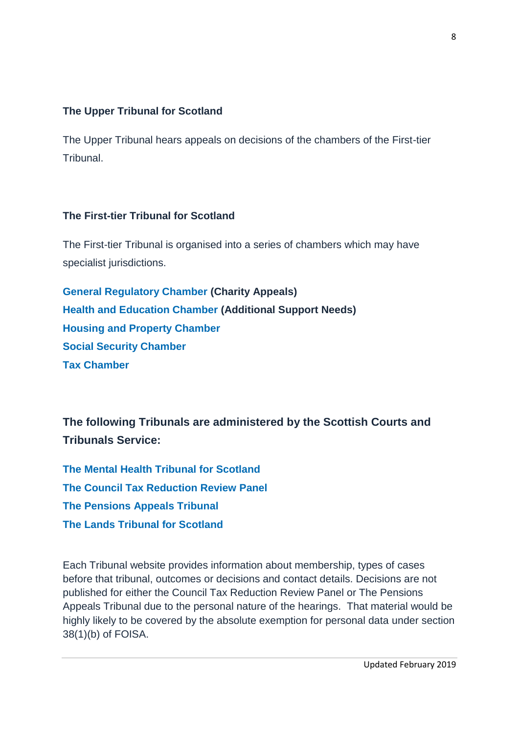### **The Upper Tribunal for Scotland**

The Upper Tribunal hears appeals on decisions of the chambers of the First-tier Tribunal.

#### **The First-tier Tribunal for Scotland**

The First-tier Tribunal is organised into a series of chambers which may have specialist jurisdictions.

**[General Regulatory Chamber \(](http://www.generalregulatorychamber.scot/)Charity Appeals) [Health and Education Chamber](http://www.healthandeducationchamber.scot/) (Additional Support Needs) [Housing and Property Chamber](http://www.housingandpropertychamber.scot/) [Social Security Chamber](https://www.scotcourts.gov.uk/the-courts/tribunal-locations/social-security-chamber---first-tier-tribunal-for-scotland) [Tax Chamber](http://www.taxtribunals.scot/)**

**The following Tribunals are administered by the Scottish Courts and Tribunals Service:**

**[The Mental Health Tribunal for Scotland](http://www.mhtscotland.gov.uk/mhts/Contact_Us/Contact_Us) [The Council Tax Reduction Review Panel](http://counciltaxreductionreview.scotland.gov.uk/) [The Pensions Appeals Tribunal](http://www.patscotland.org.uk/) [The Lands Tribunal for Scotland](http://www.lands-tribunal-scotland.org.uk/contact/office-and-staff)**

Each Tribunal website provides information about membership, types of cases before that tribunal, outcomes or decisions and contact details. Decisions are not published for either the Council Tax Reduction Review Panel or The Pensions Appeals Tribunal due to the personal nature of the hearings. That material would be highly likely to be covered by the absolute exemption for personal data under section 38(1)(b) of FOISA.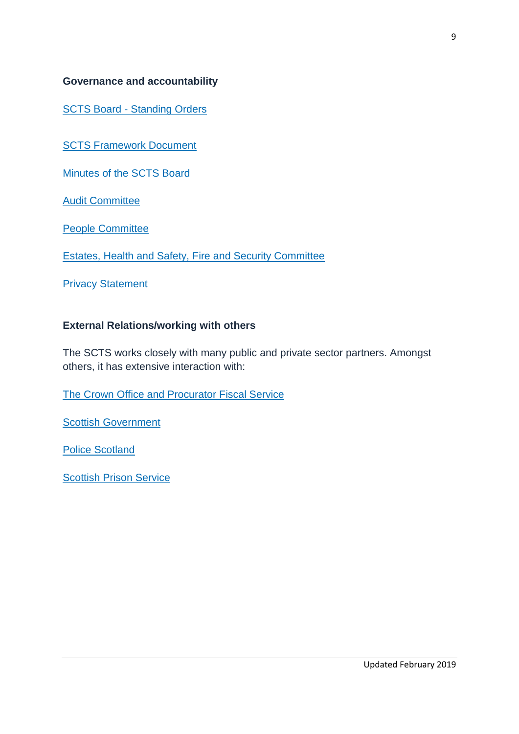#### **Governance and accountability**

SCTS Board - [Standing Orders](http://www.scotcourts.gov.uk/docs/default-source/scs-board/scts-standing-orders---april-201526d5cea6898069d2b500ff0000d74aa7.pdf?sfvrsn=6)

[SCTS Framework Document](https://www.scotcourts.gov.uk/docs/default-source/scs---taking-action/scts-framework-document---april-201549d5cea6898069d2b500ff0000d74aa7.pdf?sfvrsn=2http://www.scotcourts.gov.uk/docs/default-source/scs---taking-action/scts-framework-document---april-201549d5cea6898069d2b500ff0000d74aa7.pdf?sfvrsn=2) 

[Minutes of the SCTS Board](https://www.scotcourts.gov.uk/about-the-scottish-court-service/minutes/scts-board-minutes)

**[Audit Committee](http://www.scotcourts.gov.uk/about-the-scottish-court-service/the-scottish-court-service-board/scs-audit-committee)** 

[People Committee](http://www.scotcourts.gov.uk/about-the-scottish-court-service/the-scottish-court-service-board/scs-people-committee)

[Estates, Health and Safety, Fire and Security Committee](http://www.scotcourts.gov.uk/about-the-scottish-court-service/the-scottish-court-service-board/estates-health-and-safety-fire-and-security-committee)

[Privacy Statement](https://www.scotcourts.gov.uk/meta/privacy)

#### **External Relations/working with others**

The SCTS works closely with many public and private sector partners. Amongst others, it has extensive interaction with:

[The Crown Office and Procurator Fiscal Service](http://www.crownoffice.gov.uk/)

[Scottish Government](http://www.scotland.gov.uk/)

[Police Scotland](http://www.scotland.police.uk/)

[Scottish Prison Service](http://www.sps.gov.uk/)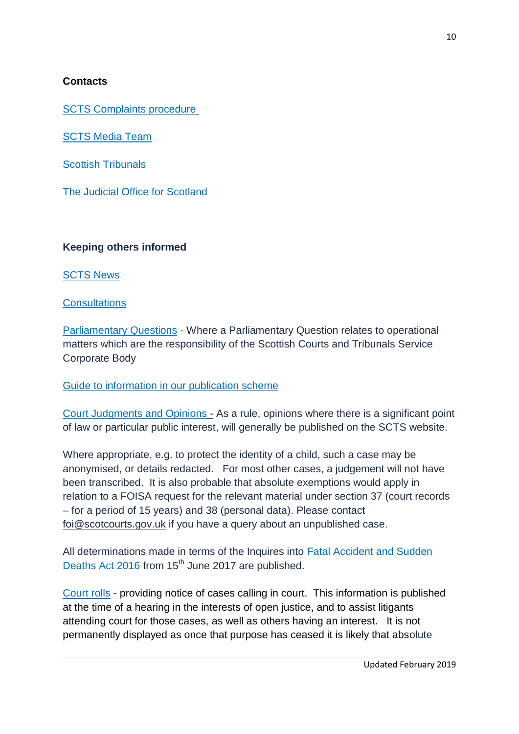### **Contacts**

[SCTS Complaints procedure](http://www.scotcourts.gov.uk/footer-pages/bottom-menu-bar/complaints-and-feedback)

**[SCTS Media Team](http://www.scotcourts.gov.uk/about-the-scottish-court-service/contact-us/media-enquiries)** 

[Scottish Tribunals](http://www.scotcourts.gov.uk/the-courts/the-tribunals/about-scottish-tribunals)

[The Judicial Office for Scotland](http://www.scotland-judiciary.org.uk/23/0/Judicial-Office-for-Scotland)

### **Keeping others informed**

[SCTS News](http://www.scotcourts.gov.uk/about-the-scottish-court-service/scs-news)

#### **[Consultations](http://www.scotcourts.gov.uk/about-the-scottish-court-service/consultations)**

[Parliamentary Questions](http://www.scotcourts.gov.uk/about-the-scottish-court-service/parliamentary-questions) - Where a Parliamentary Question relates to operational matters which are the responsibility of the Scottish Courts and Tribunals Service Corporate Body

[Guide to information in our publication scheme](http://www.scotcourts.gov.uk/about-the-scottish-court-service/contact-us/freedom-of-information) 

[Court Judgments and Opinions](http://www.scotcourts.gov.uk/search-judgments/about-judgments) - As a rule, opinions where there is a significant point of law or particular public interest, will generally be published on the SCTS website.

Where appropriate, e.g. to protect the identity of a child, such a case may be anonymised, or details redacted. For most other cases, a judgement will not have been transcribed. It is also probable that absolute exemptions would apply in relation to a FOISA request for the relevant material under section 37 (court records – for a period of 15 years) and 38 (personal data). Please contact [foi@scotcourts.gov.uk](mailto:foi@scotcourts.gov.uk) if you have a query about an unpublished case.

All determinations made in terms of the Inquires into [Fatal Accident and Sudden](http://www.legislation.gov.uk/asp/2016/2/contents/enacted)  [Deaths Act 2016](http://www.legislation.gov.uk/asp/2016/2/contents/enacted) from 15<sup>th</sup> June 2017 are published.

[Court rolls](http://www.scotcourts.gov.uk/current-business) - providing notice of cases calling in court. This information is published at the time of a hearing in the interests of open justice, and to assist litigants attending court for those cases, as well as others having an interest. It is not permanently displayed as once that purpose has ceased it is likely that absolute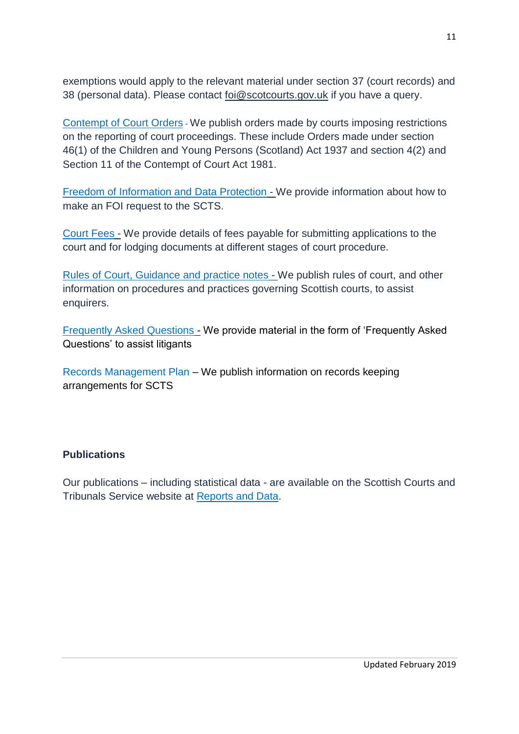exemptions would apply to the relevant material under section 37 (court records) and 38 (personal data). Please contact [foi@scotcourts.gov.uk](mailto:foi@scotcourts.gov.uk) if you have a query.

[Contempt of Court Orders](http://www.scotcourts.gov.uk/current-business/court-notices/contempt-of-court-orders) - We publish orders made by courts imposing restrictions on the reporting of court proceedings. These include Orders made under section 46(1) of the Children and Young Persons (Scotland) Act 1937 and section 4(2) and Section 11 of the Contempt of Court Act 1981.

[Freedom of Information and Data Protection](http://www.scotcourts.gov.uk/about-the-scottish-court-service/contact-us/freedom-of-information) - We provide information about how to make an FOI request to the SCTS.

[Court Fees](http://www.scotcourts.gov.uk/taking-action/court-fees) - We provide details of fees payable for submitting applications to the court and for lodging documents at different stages of court procedure.

[Rules of Court, Guidance and practice notes](http://www.scotcourts.gov.uk/rules-and-practice) - We publish rules of court, and other information on procedures and practices governing Scottish courts, to assist enquirers.

[Frequently Asked Questions](http://www.scotcourts.gov.uk/taking-action/frequently-asked-questions) - We provide material in the form of 'Frequently Asked Questions' to assist litigants

Records Management Plan – [We publish information on records keeping](http://www.scotcourts.gov.uk/docs/default-source/aboutscs/contact-us/freedom-of-information/Records-Management-Plan.pdf?sfvrsn=4)  [arrangements for SCTS](http://www.scotcourts.gov.uk/docs/default-source/aboutscs/contact-us/freedom-of-information/Records-Management-Plan.pdf?sfvrsn=4)

### **Publications**

Our publications – including statistical data - are available on the Scottish Courts and Tribunals Service website at [Reports and Data.](http://www.scotcourts.gov.uk/about-the-scottish-court-service/reports-data)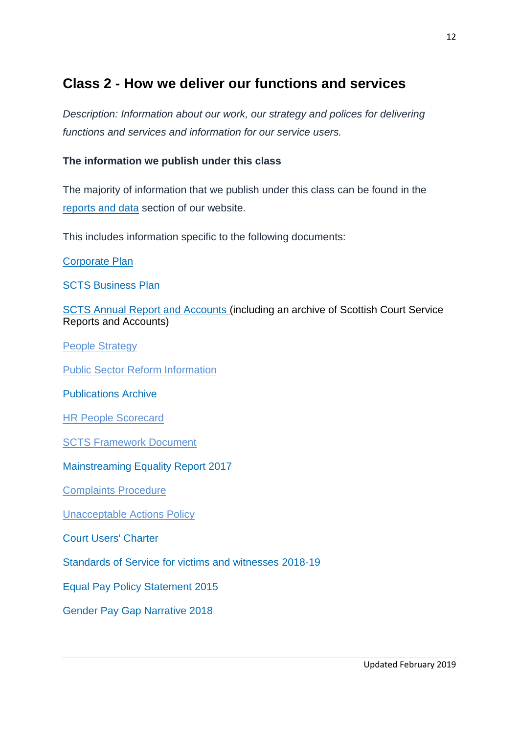# **Class 2 - How we deliver our functions and services**

*Description: Information about our work, our strategy and polices for delivering functions and services and information for our service users.*

### **The information we publish under this class**

The majority of information that we publish under this class can be found in the [reports and data](http://www.scotcourts.gov.uk/about-the-scottish-court-service/reports-data) section of our website.

This includes information specific to the following documents:

[Corporate Plan](https://www.scotcourts.gov.uk/docs/default-source/aboutscs/reports-and-data/publications/corporate-plan-2017-20-publish.pdf?sfvrsn=6)

[SCTS Business Plan](https://www.scotcourts.gov.uk/docs/default-source/aboutscs/reports-and-data/publications/scts-business-plan-2018-19.pdf?sfvrsn=2) 

[SCTS Annual Report and Accounts](https://www.scotcourts.gov.uk/docs/default-source/aboutscs/reports-and-data/publications/scts-annual-report-accounts-2017-18---final.pdf?sfvrsn=2) (including an archive of Scottish Court Service Reports and Accounts)

[People Strategy](https://www.scotcourts.gov.uk/docs/default-source/default-document-library/people-strategy---14-02-18.pdf?sfvrsn=2)

**Public Sector Reform Information** 

[Publications Archive](https://www.scotcourts.gov.uk/about-the-scottish-court-service/reports-data/publications-archive)

[HR People Scorecard](https://www.scotcourts.gov.uk/docs/default-source/aboutscs/reports-and-data/scts---people-scorecard-2017-18.pdf?sfvrsn=2)

[SCTS Framework Document](https://www.scotcourts.gov.uk/docs/default-source/scs---taking-action/scts-framework-document---april-201549d5cea6898069d2b500ff0000d74aa7.pdf?sfvrsn=2) 

[Mainstreaming Equality Report 2017](http://www.scotcourts.gov.uk/docs/default-source/aboutscs/reports-and-data/mainstream-report-april-2017.pdf?sfvrsn=4)

[Complaints Procedure](http://www.scotcourts.gov.uk/footer-pages/bottom-menu-bar/complaints-and-feedback/scs-complaints-procedure)

[Unacceptable Actions Policy](http://www.scotcourts.gov.uk/about-the-scottish-court-service/unacceptable-actions)

[Court Users' Charter](http://www.scotcourts.gov.uk/docs/default-source/scs-board/charter.doc?sfvrsn=10)

[Standards of Service for victims and witnesses](https://www.scotcourts.gov.uk/docs/default-source/aboutscs/reports-and-data/standards-of-service-for-victims-and-witnesses-2018-19.pdf?sfvrsn=2) 2018-19

Equal [Pay Policy Statement](https://www.scotcourts.gov.uk/docs/default-source/aboutscs/reports-and-data/scs-equal-pay-policy-statement-2015.doc?sfvrsn=2) 2015

[Gender Pay Gap Narrative 2018](http://www.scotcourts.gov.uk/docs/default-source/aboutscs/reports-and-data/reports-data/gender-pay-gap-narrative-21-03-18-v4-final.doc?sfvrsn=4)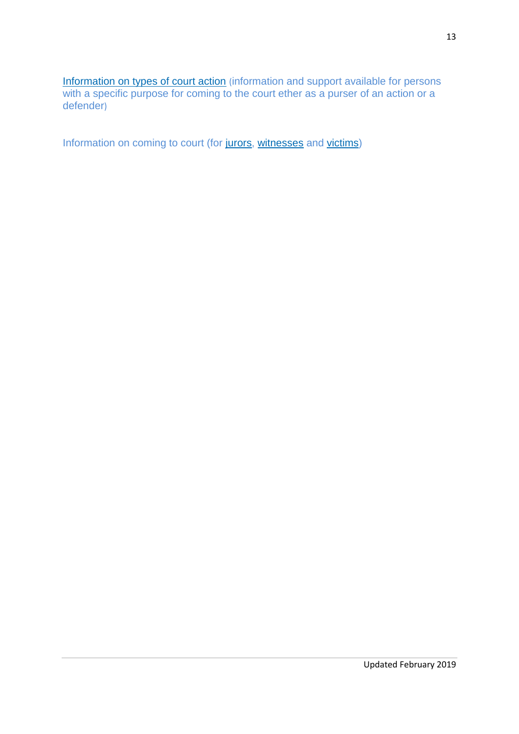[Information on types of court action](http://www.scotcourts.gov.uk/taking-action) (information and support available for persons with a specific purpose for coming to the court ether as a purser of an action or a defender)

Information on coming to court (for [jurors,](http://www.scotcourts.gov.uk/coming-to-court/jurors) [witnesses](http://www.scotcourts.gov.uk/coming-to-court/witnesses) and [victims\)](http://www.scotcourts.gov.uk/coming-to-court/victims-of-crime)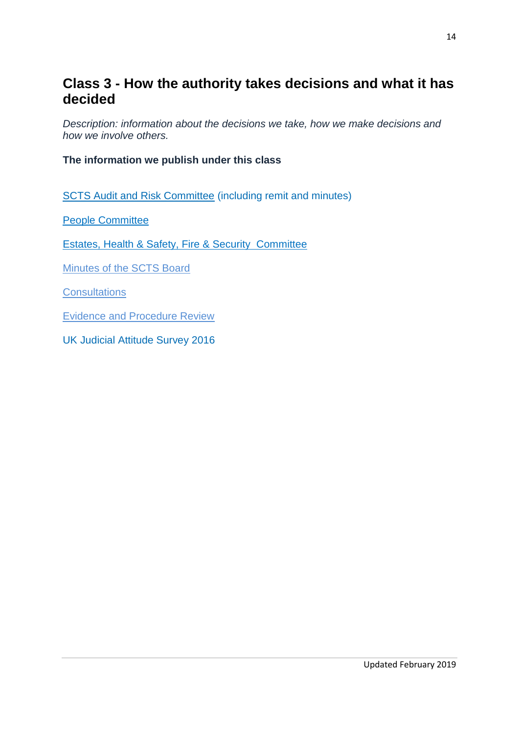## **Class 3 - How the authority takes decisions and what it has decided**

*Description: information about the decisions we take, how we make decisions and how we involve others.*

**The information we publish under this class**

[SCTS Audit and Risk Committee](https://www.scotcourts.gov.uk/about-the-scottish-court-service/the-scottish-court-service-board/scs-audit-committee) (including remit and minutes)

[People Committee](https://www.scotcourts.gov.uk/about-the-scottish-court-service/the-scottish-court-service-board/scs-people-committee)

[Estates, Health & Safety, Fire & Security Committee](http://www.scotcourts.gov.uk/about-the-scottish-court-service/the-scottish-court-service-board/estates-health-and-safety-fire-and-security-committee)

[Minutes of the SCTS Board](https://www.scotcourts.gov.uk/about-the-scottish-court-service/minutes/scts-board-minutes)

**[Consultations](https://www.scotcourts.gov.uk/about-the-scottish-court-service/consultations)** 

[Evidence and Procedure Review](https://www.scotcourts.gov.uk/evidence-and-procedure-review)

UK [Judicial Attitude Survey 2016](https://www.judiciary.uk/wp-content/uploads/2017/02/jas-2016-england-wales-court-uk-tribunals-7-february-2017.pdf)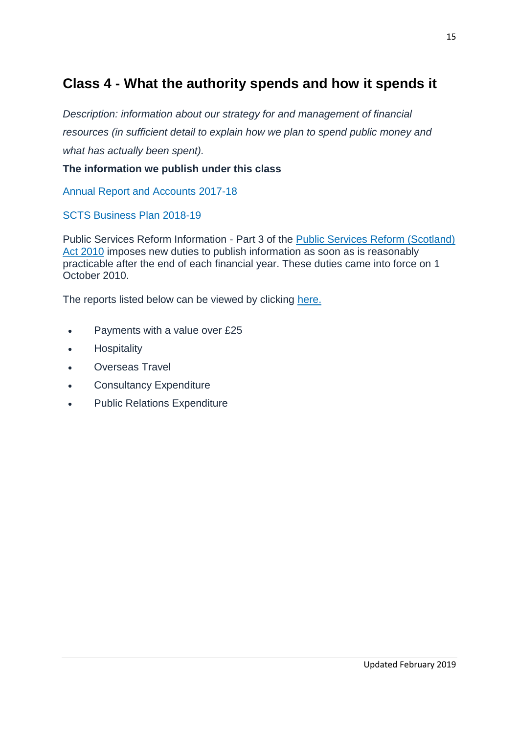# **Class 4 - What the authority spends and how it spends it**

*Description: information about our strategy for and management of financial resources (in sufficient detail to explain how we plan to spend public money and what has actually been spent).*

#### **The information we publish under this class**

[Annual Report and Accounts](https://www.scotcourts.gov.uk/docs/default-source/aboutscs/reports-and-data/publications/scts-annual-report-accounts-2017-18---final.pdf?sfvrsn=2) 2017-18

[SCTS Business Plan](https://www.scotcourts.gov.uk/docs/default-source/aboutscs/reports-and-data/publications/scts-business-plan-2018-19.pdf?sfvrsn=2) 2018-19

Public Services Reform Information - Part 3 of the [Public Services Reform \(Scotland\)](http://www.legislation.gov.uk/asp/2010/8/section/31)  [Act 2010](http://www.legislation.gov.uk/asp/2010/8/section/31) imposes new duties to publish information as soon as is reasonably practicable after the end of each financial year. These duties came into force on 1 October 2010.

The reports listed below can be viewed by clicking [here.](http://www.scotcourts.gov.uk/finance/public-services-reform-information)

- Payments with a value over £25
- **•** Hospitality
- Overseas Travel
- Consultancy Expenditure
- Public Relations Expenditure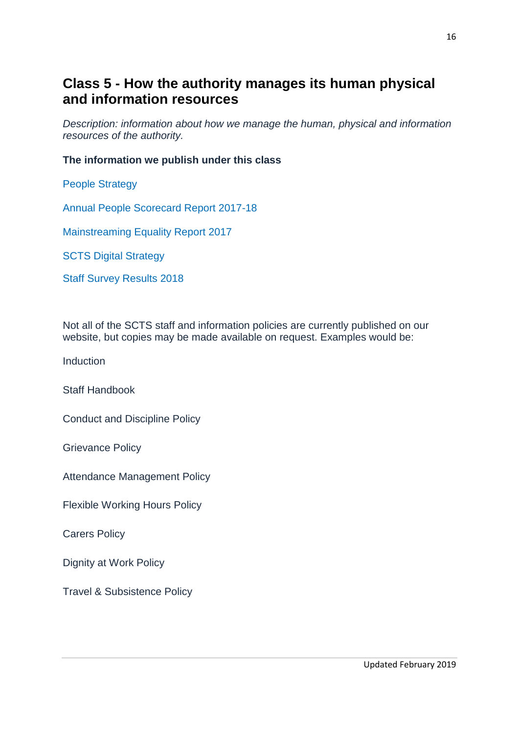## **Class 5 - How the authority manages its human physical and information resources**

*Description: information about how we manage the human, physical and information resources of the authority.*

#### **The information we publish under this class**

[People Strategy](https://www.scotcourts.gov.uk/docs/default-source/default-document-library/people-strategy---14-02-18.pdf?sfvrsn=2)

[Annual People Scorecard Report 2017-18](https://www.scotcourts.gov.uk/docs/default-source/aboutscs/reports-and-data/scts---people-scorecard-2017-18.pdf?sfvrsn=2)

[Mainstreaming Equality Report 2017](http://www.scotcourts.gov.uk/docs/default-source/aboutscs/reports-and-data/mainstream-report-april-2017.pdf?sfvrsn=4)

[SCTS Digital Strategy](http://www.scotcourts.gov.uk/docs/default-source/aboutscs/reports-and-data/reports-data/scts-digital-strategy---final.pdf?sfvrsn=4)

Staff Survey Results 2018

Not all of the SCTS staff and information policies are currently published on our website, but copies may be made available on request. Examples would be:

Induction

Staff Handbook

Conduct and Discipline Policy

Grievance Policy

Attendance Management Policy

Flexible Working Hours Policy

Carers Policy

Dignity at Work Policy

Travel & Subsistence Policy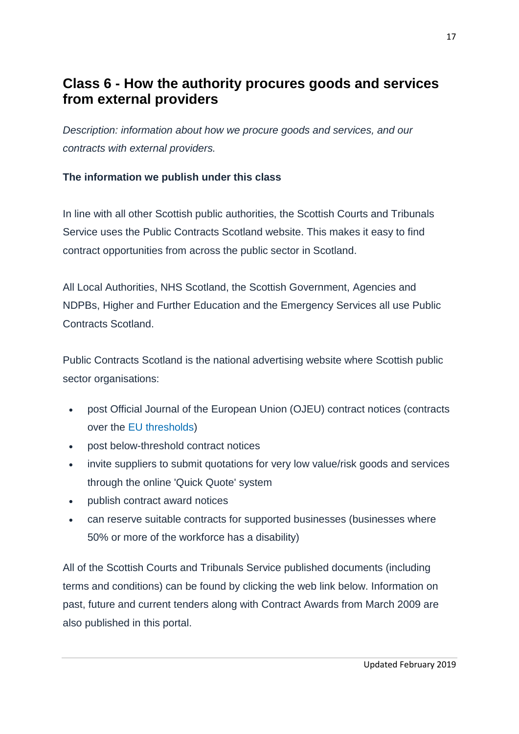# **Class 6 - How the authority procures goods and services from external providers**

*Description: information about how we procure goods and services, and our contracts with external providers.*

### **The information we publish under this class**

In line with all other Scottish public authorities, the Scottish Courts and Tribunals Service uses the Public Contracts Scotland website. This makes it easy to find contract opportunities from across the public sector in Scotland.

All Local Authorities, NHS Scotland, the Scottish Government, Agencies and NDPBs, Higher and Further Education and the Emergency Services all use Public Contracts Scotland.

Public Contracts Scotland is the national advertising website where Scottish public sector organisations:

- post Official Journal of the European Union (OJEU) contract notices (contracts over the [EU thresholds\)](http://www.scotland.gov.uk/Topics/Government/Procurement/Selling/SupplierJourney/what-to-expect/contract-thresholds)
- post below-threshold contract notices
- invite suppliers to submit quotations for very low value/risk goods and services through the online 'Quick Quote' system
- publish contract award notices
- can reserve suitable contracts for supported businesses (businesses where 50% or more of the workforce has a disability)

All of the Scottish Courts and Tribunals Service published documents (including terms and conditions) can be found by clicking the web link below. Information on past, future and current tenders along with Contract Awards from March 2009 are also published in this portal.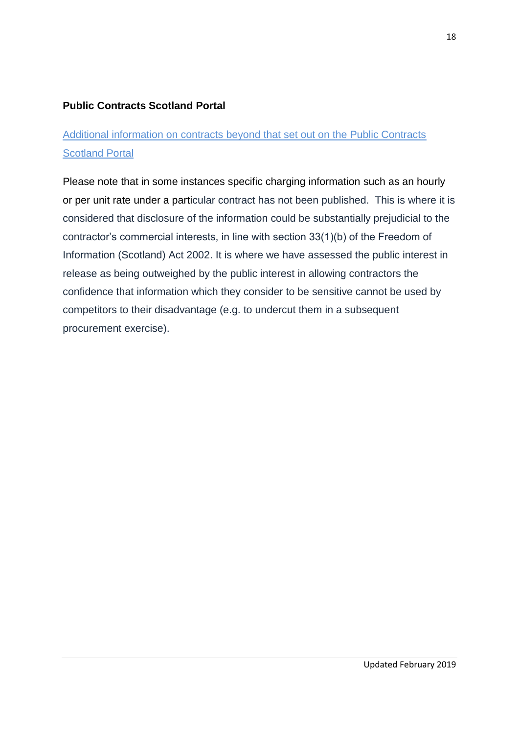## **[Public Contracts Scotland](http://www.publiccontractsscotland.gov.uk/search/Search_AuthProfile.aspx?ID=AA00396) Portal**

## Additional information on contracts beyond that set out on the Public Contracts Scotland Portal

Please note that in some instances specific charging information such as an hourly or per unit rate under a particular contract has not been published. This is where it is considered that disclosure of the information could be substantially prejudicial to the contractor's commercial interests, in line with section 33(1)(b) of the Freedom of Information (Scotland) Act 2002. It is where we have assessed the public interest in release as being outweighed by the public interest in allowing contractors the confidence that information which they consider to be sensitive cannot be used by competitors to their disadvantage (e.g. to undercut them in a subsequent procurement exercise).